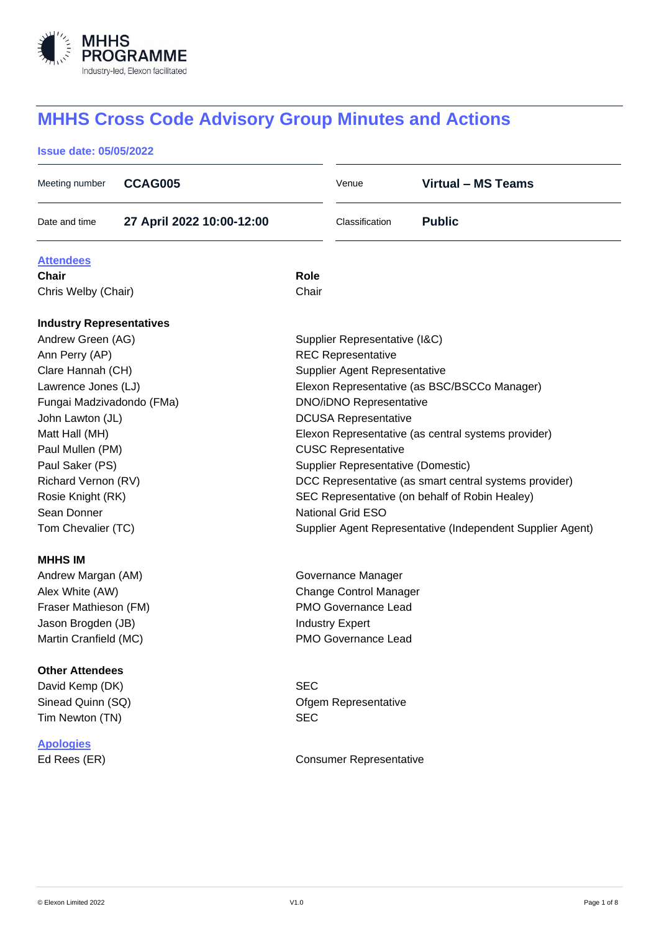

# **MHHS Cross Code Advisory Group Minutes and Actions**

# **Issue date: 05/05/2022**

| Meeting number                  | <b>CCAG005</b>            |                                                | Venue                                | <b>Virtual - MS Teams</b>                                  |  |
|---------------------------------|---------------------------|------------------------------------------------|--------------------------------------|------------------------------------------------------------|--|
| Date and time                   | 27 April 2022 10:00-12:00 |                                                | Classification                       | <b>Public</b>                                              |  |
| <b>Attendees</b>                |                           |                                                |                                      |                                                            |  |
| <b>Chair</b>                    |                           | Role                                           |                                      |                                                            |  |
| Chris Welby (Chair)             |                           | Chair                                          |                                      |                                                            |  |
| <b>Industry Representatives</b> |                           |                                                |                                      |                                                            |  |
| Andrew Green (AG)               |                           |                                                | Supplier Representative (I&C)        |                                                            |  |
| Ann Perry (AP)                  |                           | <b>REC Representative</b>                      |                                      |                                                            |  |
| Clare Hannah (CH)               |                           |                                                | <b>Supplier Agent Representative</b> |                                                            |  |
| Lawrence Jones (LJ)             |                           |                                                |                                      | Elexon Representative (as BSC/BSCCo Manager)               |  |
| Fungai Madzivadondo (FMa)       |                           |                                                | <b>DNO/iDNO Representative</b>       |                                                            |  |
| John Lawton (JL)                |                           |                                                | <b>DCUSA Representative</b>          |                                                            |  |
| Matt Hall (MH)                  |                           |                                                |                                      | Elexon Representative (as central systems provider)        |  |
| Paul Mullen (PM)                |                           |                                                | <b>CUSC Representative</b>           |                                                            |  |
| Paul Saker (PS)                 |                           |                                                | Supplier Representative (Domestic)   |                                                            |  |
| Richard Vernon (RV)             |                           |                                                |                                      | DCC Representative (as smart central systems provider)     |  |
| Rosie Knight (RK)               |                           | SEC Representative (on behalf of Robin Healey) |                                      |                                                            |  |
| Sean Donner                     |                           | <b>National Grid ESO</b>                       |                                      |                                                            |  |
| Tom Chevalier (TC)              |                           |                                                |                                      | Supplier Agent Representative (Independent Supplier Agent) |  |
| <b>MHHS IM</b>                  |                           |                                                |                                      |                                                            |  |
| Andrew Margan (AM)              |                           |                                                | Governance Manager                   |                                                            |  |
| Alex White (AW)                 |                           |                                                | <b>Change Control Manager</b>        |                                                            |  |
| Fraser Mathieson (FM)           |                           |                                                | <b>PMO Governance Lead</b>           |                                                            |  |
| Jason Brogden (JB)              |                           |                                                | <b>Industry Expert</b>               |                                                            |  |
| Martin Cranfield (MC)           |                           |                                                | PMO Governance Lead                  |                                                            |  |
| <b>Other Attendees</b>          |                           |                                                |                                      |                                                            |  |
| David Kemp (DK)                 |                           | <b>SEC</b>                                     |                                      |                                                            |  |
| Sinead Quinn (SQ)               |                           |                                                | Ofgem Representative                 |                                                            |  |
| Tim Newton (TN)                 |                           | <b>SEC</b>                                     |                                      |                                                            |  |
| <b>Apologies</b>                |                           |                                                |                                      |                                                            |  |
| Ed Rees (ER)                    |                           |                                                | <b>Consumer Representative</b>       |                                                            |  |
|                                 |                           |                                                |                                      |                                                            |  |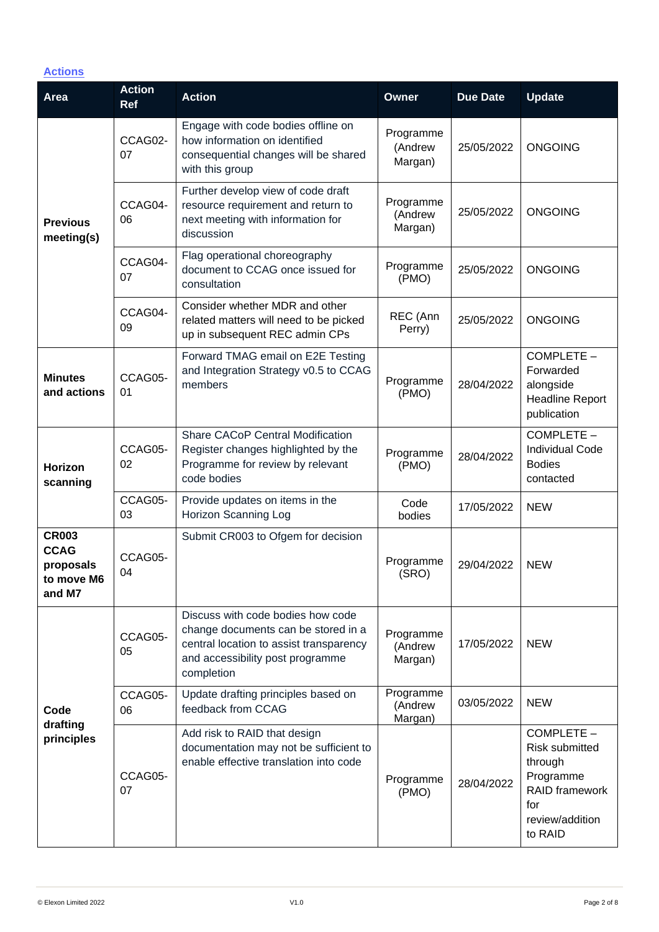# **Actions**

| <b>Area</b>                                                      | <b>Action</b><br><b>Ref</b> | <b>Action</b>                                                                                                                                                         | <b>Owner</b>                    | <b>Due Date</b> | <b>Update</b>                                                                                                             |
|------------------------------------------------------------------|-----------------------------|-----------------------------------------------------------------------------------------------------------------------------------------------------------------------|---------------------------------|-----------------|---------------------------------------------------------------------------------------------------------------------------|
| <b>Previous</b><br>meeting(s)                                    | CCAG02-<br>07               | Engage with code bodies offline on<br>how information on identified<br>consequential changes will be shared<br>with this group                                        | Programme<br>(Andrew<br>Margan) | 25/05/2022      | <b>ONGOING</b>                                                                                                            |
|                                                                  | CCAG04-<br>06               | Further develop view of code draft<br>resource requirement and return to<br>next meeting with information for<br>discussion                                           | Programme<br>(Andrew<br>Margan) | 25/05/2022      | <b>ONGOING</b>                                                                                                            |
|                                                                  | CCAG04-<br>07               | Flag operational choreography<br>document to CCAG once issued for<br>consultation                                                                                     | Programme<br>(PMO)              | 25/05/2022      | <b>ONGOING</b>                                                                                                            |
|                                                                  | CCAG04-<br>09               | Consider whether MDR and other<br>related matters will need to be picked<br>up in subsequent REC admin CPs                                                            | REC (Ann<br>Perry)              | 25/05/2022      | <b>ONGOING</b>                                                                                                            |
| <b>Minutes</b><br>and actions                                    | CCAG05-<br>01               | Forward TMAG email on E2E Testing<br>and Integration Strategy v0.5 to CCAG<br>members                                                                                 | Programme<br>(PMO)              | 28/04/2022      | COMPLETE -<br>Forwarded<br>alongside<br><b>Headline Report</b><br>publication                                             |
| Horizon<br>scanning                                              | CCAG05-<br>02               | Share CACoP Central Modification<br>Register changes highlighted by the<br>Programme for review by relevant<br>code bodies                                            | Programme<br>(PMO)              | 28/04/2022      | COMPLETE -<br><b>Individual Code</b><br><b>Bodies</b><br>contacted                                                        |
|                                                                  | CCAG05-<br>03               | Provide updates on items in the<br>Horizon Scanning Log                                                                                                               | Code<br>bodies                  | 17/05/2022      | <b>NEW</b>                                                                                                                |
| <b>CR003</b><br><b>CCAG</b><br>proposals<br>to move M6<br>and M7 | CCAG05-<br>04               | Submit CR003 to Ofgem for decision                                                                                                                                    | Programme<br>(SRO)              | 29/04/2022      | <b>NEW</b>                                                                                                                |
| Code<br>drafting<br>principles                                   | CCAG05-<br>05               | Discuss with code bodies how code<br>change documents can be stored in a<br>central location to assist transparency<br>and accessibility post programme<br>completion | Programme<br>(Andrew<br>Margan) | 17/05/2022      | <b>NEW</b>                                                                                                                |
|                                                                  | CCAG05-<br>06               | Update drafting principles based on<br>feedback from CCAG                                                                                                             | Programme<br>(Andrew<br>Margan) | 03/05/2022      | <b>NEW</b>                                                                                                                |
|                                                                  | CCAG05-<br>07               | Add risk to RAID that design<br>documentation may not be sufficient to<br>enable effective translation into code                                                      | Programme<br>(PMO)              | 28/04/2022      | COMPLETE -<br><b>Risk submitted</b><br>through<br>Programme<br><b>RAID</b> framework<br>for<br>review/addition<br>to RAID |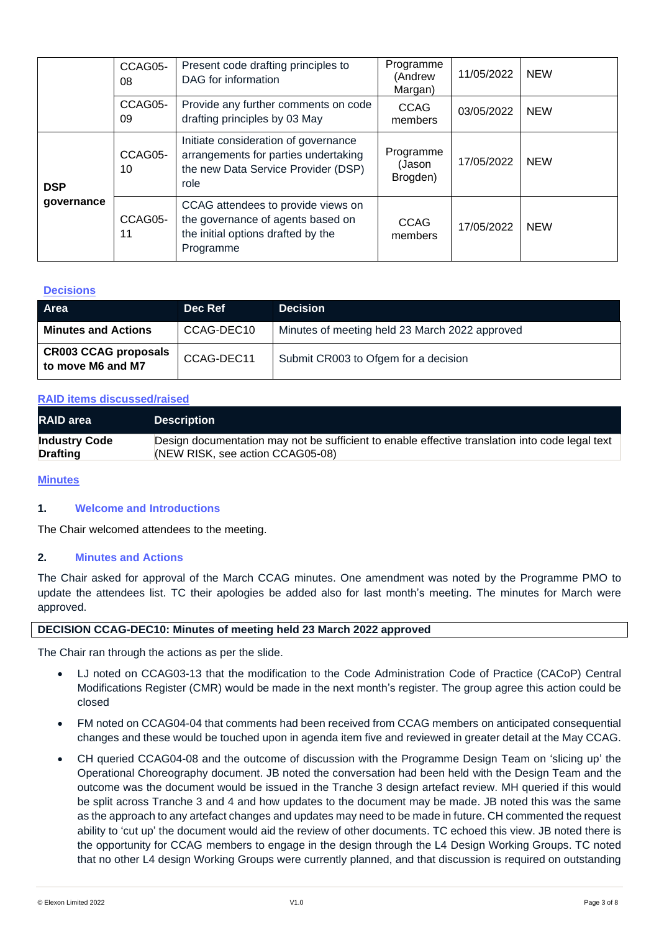|                          | CCAG05-<br>08 | Present code drafting principles to<br>DAG for information                                                                  | Programme<br>(Andrew<br>Margan) | 11/05/2022 | <b>NEW</b> |
|--------------------------|---------------|-----------------------------------------------------------------------------------------------------------------------------|---------------------------------|------------|------------|
|                          | CCAG05-<br>09 | Provide any further comments on code<br>drafting principles by 03 May                                                       | <b>CCAG</b><br>members          | 03/05/2022 | <b>NEW</b> |
| <b>DSP</b><br>governance | CCAG05-<br>10 | Initiate consideration of governance<br>arrangements for parties undertaking<br>the new Data Service Provider (DSP)<br>role | Programme<br>(Jason<br>Brogden) | 17/05/2022 | <b>NEW</b> |
|                          | CCAG05-<br>11 | CCAG attendees to provide views on<br>the governance of agents based on<br>the initial options drafted by the<br>Programme  | CCAG<br>members                 | 17/05/2022 | <b>NEW</b> |

## **Decisions**

| Area                                             | Dec Ref    | <b>Decision</b>                                |
|--------------------------------------------------|------------|------------------------------------------------|
| <b>Minutes and Actions</b>                       | CCAG-DEC10 | Minutes of meeting held 23 March 2022 approved |
| <b>CR003 CCAG proposals</b><br>to move M6 and M7 | CCAG-DEC11 | Submit CR003 to Ofgem for a decision           |

#### **RAID items discussed/raised**

| <b>RAID</b> area     | <b>Description</b>                                                                              |
|----------------------|-------------------------------------------------------------------------------------------------|
| <b>Industry Code</b> | Design documentation may not be sufficient to enable effective translation into code legal text |
| <b>Drafting</b>      | (NEW RISK, see action CCAG05-08)                                                                |

# **Minutes**

## **1. Welcome and Introductions**

The Chair welcomed attendees to the meeting.

#### **2. Minutes and Actions**

The Chair asked for approval of the March CCAG minutes. One amendment was noted by the Programme PMO to update the attendees list. TC their apologies be added also for last month's meeting. The minutes for March were approved.

#### **DECISION CCAG-DEC10: Minutes of meeting held 23 March 2022 approved**

The Chair ran through the actions as per the slide.

- LJ noted on CCAG03-13 that the modification to the Code Administration Code of Practice (CACoP) Central Modifications Register (CMR) would be made in the next month's register. The group agree this action could be closed
- FM noted on CCAG04-04 that comments had been received from CCAG members on anticipated consequential changes and these would be touched upon in agenda item five and reviewed in greater detail at the May CCAG.
- CH queried CCAG04-08 and the outcome of discussion with the Programme Design Team on 'slicing up' the Operational Choreography document. JB noted the conversation had been held with the Design Team and the outcome was the document would be issued in the Tranche 3 design artefact review. MH queried if this would be split across Tranche 3 and 4 and how updates to the document may be made. JB noted this was the same as the approach to any artefact changes and updates may need to be made in future. CH commented the request ability to 'cut up' the document would aid the review of other documents. TC echoed this view. JB noted there is the opportunity for CCAG members to engage in the design through the L4 Design Working Groups. TC noted that no other L4 design Working Groups were currently planned, and that discussion is required on outstanding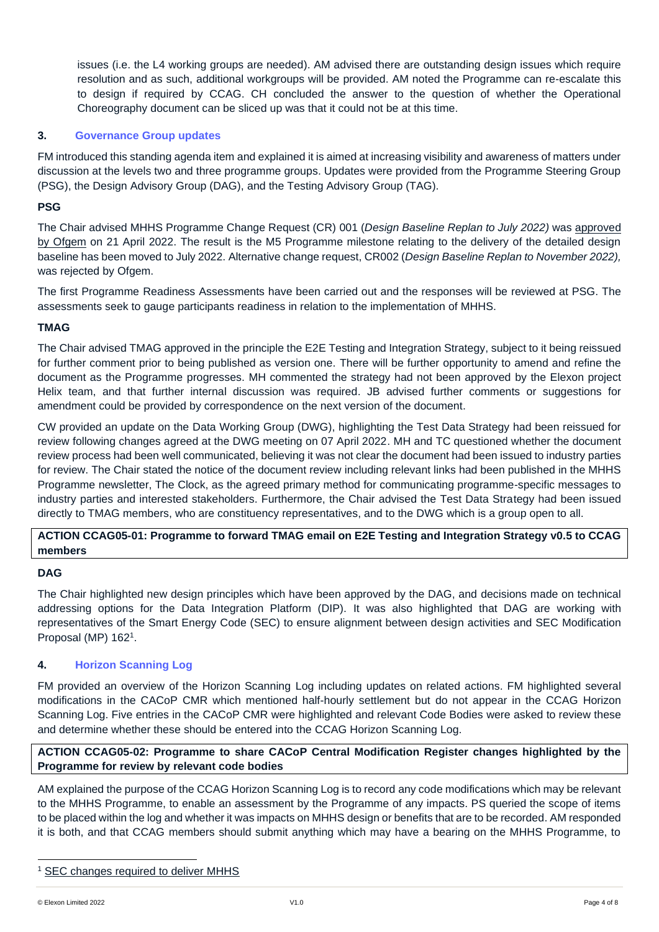issues (i.e. the L4 working groups are needed). AM advised there are outstanding design issues which require resolution and as such, additional workgroups will be provided. AM noted the Programme can re-escalate this to design if required by CCAG. CH concluded the answer to the question of whether the Operational Choreography document can be sliced up was that it could not be at this time.

# **3. Governance Group updates**

FM introduced this standing agenda item and explained it is aimed at increasing visibility and awareness of matters under discussion at the levels two and three programme groups. Updates were provided from the Programme Steering Group (PSG), the Design Advisory Group (DAG), and the Testing Advisory Group (TAG).

# **PSG**

The Chair advised MHHS Programme Change Request (CR) 001 (*Design Baseline Replan to July 2022)* was [approved](https://www.ofgem.gov.uk/publications/decision-change-requests-cr001-and-cr002-market-wide-half-hourly-settlement)  by [Ofgem](https://www.ofgem.gov.uk/publications/decision-change-requests-cr001-and-cr002-market-wide-half-hourly-settlement) on 21 April 2022. The result is the M5 Programme milestone relating to the delivery of the detailed design baseline has been moved to July 2022. Alternative change request, CR002 (*Design Baseline Replan to November 2022),* was rejected by Ofgem.

The first Programme Readiness Assessments have been carried out and the responses will be reviewed at PSG. The assessments seek to gauge participants readiness in relation to the implementation of MHHS.

# **TMAG**

The Chair advised TMAG approved in the principle the E2E Testing and Integration Strategy, subject to it being reissued for further comment prior to being published as version one. There will be further opportunity to amend and refine the document as the Programme progresses. MH commented the strategy had not been approved by the Elexon project Helix team, and that further internal discussion was required. JB advised further comments or suggestions for amendment could be provided by correspondence on the next version of the document.

CW provided an update on the Data Working Group (DWG), highlighting the Test Data Strategy had been reissued for review following changes agreed at the DWG meeting on 07 April 2022. MH and TC questioned whether the document review process had been well communicated, believing it was not clear the document had been issued to industry parties for review. The Chair stated the notice of the document review including relevant links had been published in the MHHS Programme newsletter, The Clock, as the agreed primary method for communicating programme-specific messages to industry parties and interested stakeholders. Furthermore, the Chair advised the Test Data Strategy had been issued directly to TMAG members, who are constituency representatives, and to the DWG which is a group open to all.

# **ACTION CCAG05-01: Programme to forward TMAG email on E2E Testing and Integration Strategy v0.5 to CCAG members**

## **DAG**

The Chair highlighted new design principles which have been approved by the DAG, and decisions made on technical addressing options for the Data Integration Platform (DIP). It was also highlighted that DAG are working with representatives of the Smart Energy Code (SEC) to ensure alignment between design activities and SEC Modification Proposal (MP) 162<sup>1</sup>.

# **4. Horizon Scanning Log**

FM provided an overview of the Horizon Scanning Log including updates on related actions. FM highlighted several modifications in the CACoP CMR which mentioned half-hourly settlement but do not appear in the CCAG Horizon Scanning Log. Five entries in the CACoP CMR were highlighted and relevant Code Bodies were asked to review these and determine whether these should be entered into the CCAG Horizon Scanning Log.

# **ACTION CCAG05-02: Programme to share CACoP Central Modification Register changes highlighted by the Programme for review by relevant code bodies**

AM explained the purpose of the CCAG Horizon Scanning Log is to record any code modifications which may be relevant to the MHHS Programme, to enable an assessment by the Programme of any impacts. PS queried the scope of items to be placed within the log and whether it was impacts on MHHS design or benefits that are to be recorded. AM responded it is both, and that CCAG members should submit anything which may have a bearing on the MHHS Programme, to

<sup>&</sup>lt;sup>1</sup> [SEC changes required to deliver MHHS](https://smartenergycodecompany.co.uk/modifications/sec-changes-required-to-deliver-mhhs/)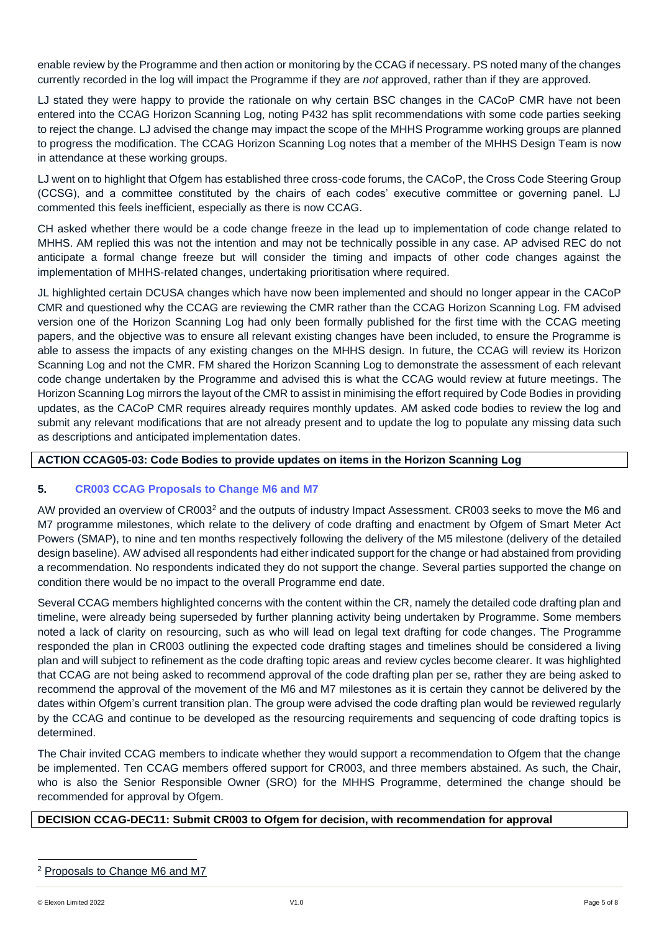enable review by the Programme and then action or monitoring by the CCAG if necessary. PS noted many of the changes currently recorded in the log will impact the Programme if they are *not* approved, rather than if they are approved.

LJ stated they were happy to provide the rationale on why certain BSC changes in the CACoP CMR have not been entered into the CCAG Horizon Scanning Log, noting P432 has split recommendations with some code parties seeking to reject the change. LJ advised the change may impact the scope of the MHHS Programme working groups are planned to progress the modification. The CCAG Horizon Scanning Log notes that a member of the MHHS Design Team is now in attendance at these working groups.

LJ went on to highlight that Ofgem has established three cross-code forums, the CACoP, the Cross Code Steering Group (CCSG), and a committee constituted by the chairs of each codes' executive committee or governing panel. LJ commented this feels inefficient, especially as there is now CCAG.

CH asked whether there would be a code change freeze in the lead up to implementation of code change related to MHHS. AM replied this was not the intention and may not be technically possible in any case. AP advised REC do not anticipate a formal change freeze but will consider the timing and impacts of other code changes against the implementation of MHHS-related changes, undertaking prioritisation where required.

JL highlighted certain DCUSA changes which have now been implemented and should no longer appear in the CACoP CMR and questioned why the CCAG are reviewing the CMR rather than the CCAG Horizon Scanning Log. FM advised version one of the Horizon Scanning Log had only been formally published for the first time with the CCAG meeting papers, and the objective was to ensure all relevant existing changes have been included, to ensure the Programme is able to assess the impacts of any existing changes on the MHHS design. In future, the CCAG will review its Horizon Scanning Log and not the CMR. FM shared the Horizon Scanning Log to demonstrate the assessment of each relevant code change undertaken by the Programme and advised this is what the CCAG would review at future meetings. The Horizon Scanning Log mirrors the layout of the CMR to assist in minimising the effort required by Code Bodies in providing updates, as the CACoP CMR requires already requires monthly updates. AM asked code bodies to review the log and submit any relevant modifications that are not already present and to update the log to populate any missing data such as descriptions and anticipated implementation dates.

# **ACTION CCAG05-03: Code Bodies to provide updates on items in the Horizon Scanning Log**

# **5. CR003 CCAG Proposals to Change M6 and M7**

AW provided an overview of CR003<sup>2</sup> and the outputs of industry Impact Assessment. CR003 seeks to move the M6 and M7 programme milestones, which relate to the delivery of code drafting and enactment by Ofgem of Smart Meter Act Powers (SMAP), to nine and ten months respectively following the delivery of the M5 milestone (delivery of the detailed design baseline). AW advised all respondents had either indicated support for the change or had abstained from providing a recommendation. No respondents indicated they do not support the change. Several parties supported the change on condition there would be no impact to the overall Programme end date.

Several CCAG members highlighted concerns with the content within the CR, namely the detailed code drafting plan and timeline, were already being superseded by further planning activity being undertaken by Programme. Some members noted a lack of clarity on resourcing, such as who will lead on legal text drafting for code changes. The Programme responded the plan in CR003 outlining the expected code drafting stages and timelines should be considered a living plan and will subject to refinement as the code drafting topic areas and review cycles become clearer. It was highlighted that CCAG are not being asked to recommend approval of the code drafting plan per se, rather they are being asked to recommend the approval of the movement of the M6 and M7 milestones as it is certain they cannot be delivered by the dates within Ofgem's current transition plan. The group were advised the code drafting plan would be reviewed regularly by the CCAG and continue to be developed as the resourcing requirements and sequencing of code drafting topics is determined.

The Chair invited CCAG members to indicate whether they would support a recommendation to Ofgem that the change be implemented. Ten CCAG members offered support for CR003, and three members abstained. As such, the Chair, who is also the Senior Responsible Owner (SRO) for the MHHS Programme, determined the change should be recommended for approval by Ofgem.

# **DECISION CCAG-DEC11: Submit CR003 to Ofgem for decision, with recommendation for approval**

<sup>2</sup> [Proposals to Change M6 and M7](https://mhhsprogramme-production-cdn.s3.eu-west-2.amazonaws.com/wp-content/uploads/2022/04/04163255/MHHS-CR003-Change-Request-M6-and-M7-Replan-Issued-290322.docx)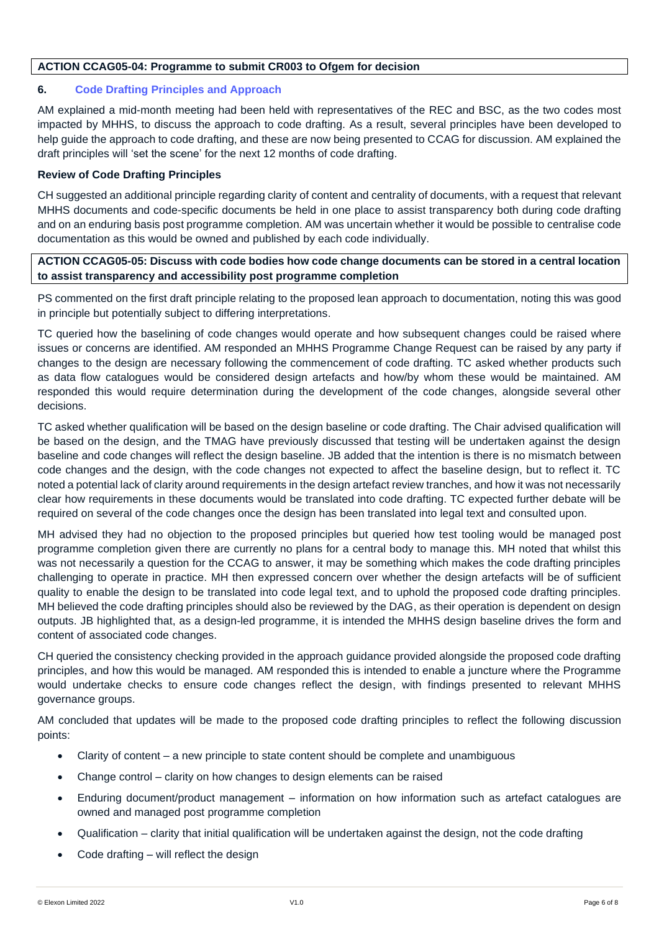# **ACTION CCAG05-04: Programme to submit CR003 to Ofgem for decision**

# **6. Code Drafting Principles and Approach**

AM explained a mid-month meeting had been held with representatives of the REC and BSC, as the two codes most impacted by MHHS, to discuss the approach to code drafting. As a result, several principles have been developed to help guide the approach to code drafting, and these are now being presented to CCAG for discussion. AM explained the draft principles will 'set the scene' for the next 12 months of code drafting.

# **Review of Code Drafting Principles**

CH suggested an additional principle regarding clarity of content and centrality of documents, with a request that relevant MHHS documents and code-specific documents be held in one place to assist transparency both during code drafting and on an enduring basis post programme completion. AM was uncertain whether it would be possible to centralise code documentation as this would be owned and published by each code individually.

# **ACTION CCAG05-05: Discuss with code bodies how code change documents can be stored in a central location to assist transparency and accessibility post programme completion**

PS commented on the first draft principle relating to the proposed lean approach to documentation, noting this was good in principle but potentially subject to differing interpretations.

TC queried how the baselining of code changes would operate and how subsequent changes could be raised where issues or concerns are identified. AM responded an MHHS Programme Change Request can be raised by any party if changes to the design are necessary following the commencement of code drafting. TC asked whether products such as data flow catalogues would be considered design artefacts and how/by whom these would be maintained. AM responded this would require determination during the development of the code changes, alongside several other decisions.

TC asked whether qualification will be based on the design baseline or code drafting. The Chair advised qualification will be based on the design, and the TMAG have previously discussed that testing will be undertaken against the design baseline and code changes will reflect the design baseline. JB added that the intention is there is no mismatch between code changes and the design, with the code changes not expected to affect the baseline design, but to reflect it. TC noted a potential lack of clarity around requirements in the design artefact review tranches, and how it was not necessarily clear how requirements in these documents would be translated into code drafting. TC expected further debate will be required on several of the code changes once the design has been translated into legal text and consulted upon.

MH advised they had no objection to the proposed principles but queried how test tooling would be managed post programme completion given there are currently no plans for a central body to manage this. MH noted that whilst this was not necessarily a question for the CCAG to answer, it may be something which makes the code drafting principles challenging to operate in practice. MH then expressed concern over whether the design artefacts will be of sufficient quality to enable the design to be translated into code legal text, and to uphold the proposed code drafting principles. MH believed the code drafting principles should also be reviewed by the DAG, as their operation is dependent on design outputs. JB highlighted that, as a design-led programme, it is intended the MHHS design baseline drives the form and content of associated code changes.

CH queried the consistency checking provided in the approach guidance provided alongside the proposed code drafting principles, and how this would be managed. AM responded this is intended to enable a juncture where the Programme would undertake checks to ensure code changes reflect the design, with findings presented to relevant MHHS governance groups.

AM concluded that updates will be made to the proposed code drafting principles to reflect the following discussion points:

- Clarity of content a new principle to state content should be complete and unambiguous
- Change control clarity on how changes to design elements can be raised
- Enduring document/product management information on how information such as artefact catalogues are owned and managed post programme completion
- Qualification clarity that initial qualification will be undertaken against the design, not the code drafting
- Code drafting will reflect the design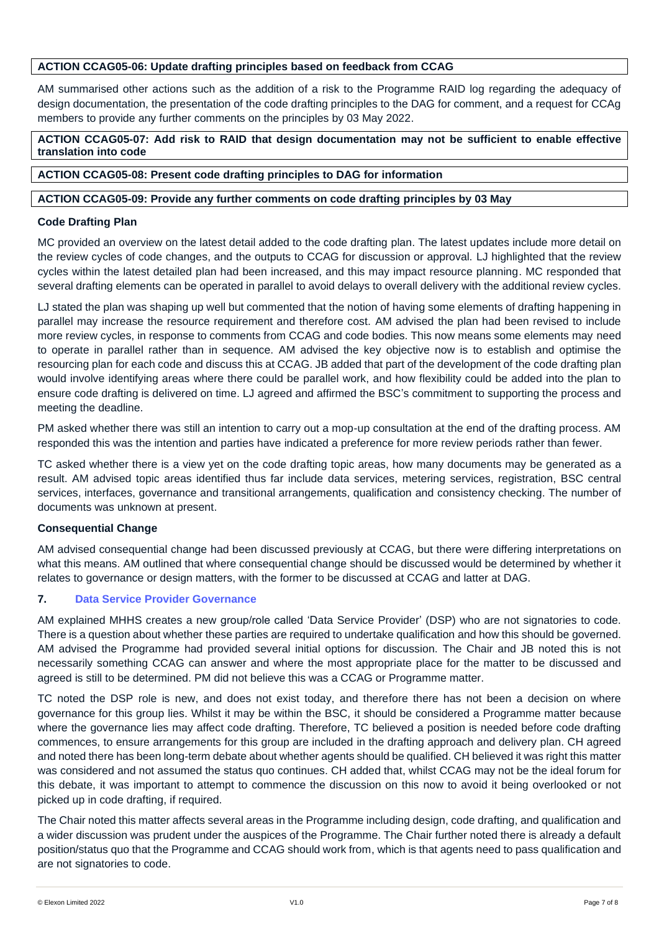# **ACTION CCAG05-06: Update drafting principles based on feedback from CCAG**

AM summarised other actions such as the addition of a risk to the Programme RAID log regarding the adequacy of design documentation, the presentation of the code drafting principles to the DAG for comment, and a request for CCAg members to provide any further comments on the principles by 03 May 2022.

**ACTION CCAG05-07: Add risk to RAID that design documentation may not be sufficient to enable effective translation into code**

**ACTION CCAG05-08: Present code drafting principles to DAG for information**

# **ACTION CCAG05-09: Provide any further comments on code drafting principles by 03 May**

# **Code Drafting Plan**

MC provided an overview on the latest detail added to the code drafting plan. The latest updates include more detail on the review cycles of code changes, and the outputs to CCAG for discussion or approval. LJ highlighted that the review cycles within the latest detailed plan had been increased, and this may impact resource planning. MC responded that several drafting elements can be operated in parallel to avoid delays to overall delivery with the additional review cycles.

LJ stated the plan was shaping up well but commented that the notion of having some elements of drafting happening in parallel may increase the resource requirement and therefore cost. AM advised the plan had been revised to include more review cycles, in response to comments from CCAG and code bodies. This now means some elements may need to operate in parallel rather than in sequence. AM advised the key objective now is to establish and optimise the resourcing plan for each code and discuss this at CCAG. JB added that part of the development of the code drafting plan would involve identifying areas where there could be parallel work, and how flexibility could be added into the plan to ensure code drafting is delivered on time. LJ agreed and affirmed the BSC's commitment to supporting the process and meeting the deadline.

PM asked whether there was still an intention to carry out a mop-up consultation at the end of the drafting process. AM responded this was the intention and parties have indicated a preference for more review periods rather than fewer.

TC asked whether there is a view yet on the code drafting topic areas, how many documents may be generated as a result. AM advised topic areas identified thus far include data services, metering services, registration, BSC central services, interfaces, governance and transitional arrangements, qualification and consistency checking. The number of documents was unknown at present.

## **Consequential Change**

AM advised consequential change had been discussed previously at CCAG, but there were differing interpretations on what this means. AM outlined that where consequential change should be discussed would be determined by whether it relates to governance or design matters, with the former to be discussed at CCAG and latter at DAG.

# **7. Data Service Provider Governance**

AM explained MHHS creates a new group/role called 'Data Service Provider' (DSP) who are not signatories to code. There is a question about whether these parties are required to undertake qualification and how this should be governed. AM advised the Programme had provided several initial options for discussion. The Chair and JB noted this is not necessarily something CCAG can answer and where the most appropriate place for the matter to be discussed and agreed is still to be determined. PM did not believe this was a CCAG or Programme matter.

TC noted the DSP role is new, and does not exist today, and therefore there has not been a decision on where governance for this group lies. Whilst it may be within the BSC, it should be considered a Programme matter because where the governance lies may affect code drafting. Therefore, TC believed a position is needed before code drafting commences, to ensure arrangements for this group are included in the drafting approach and delivery plan. CH agreed and noted there has been long-term debate about whether agents should be qualified. CH believed it was right this matter was considered and not assumed the status quo continues. CH added that, whilst CCAG may not be the ideal forum for this debate, it was important to attempt to commence the discussion on this now to avoid it being overlooked or not picked up in code drafting, if required.

The Chair noted this matter affects several areas in the Programme including design, code drafting, and qualification and a wider discussion was prudent under the auspices of the Programme. The Chair further noted there is already a default position/status quo that the Programme and CCAG should work from, which is that agents need to pass qualification and are not signatories to code.